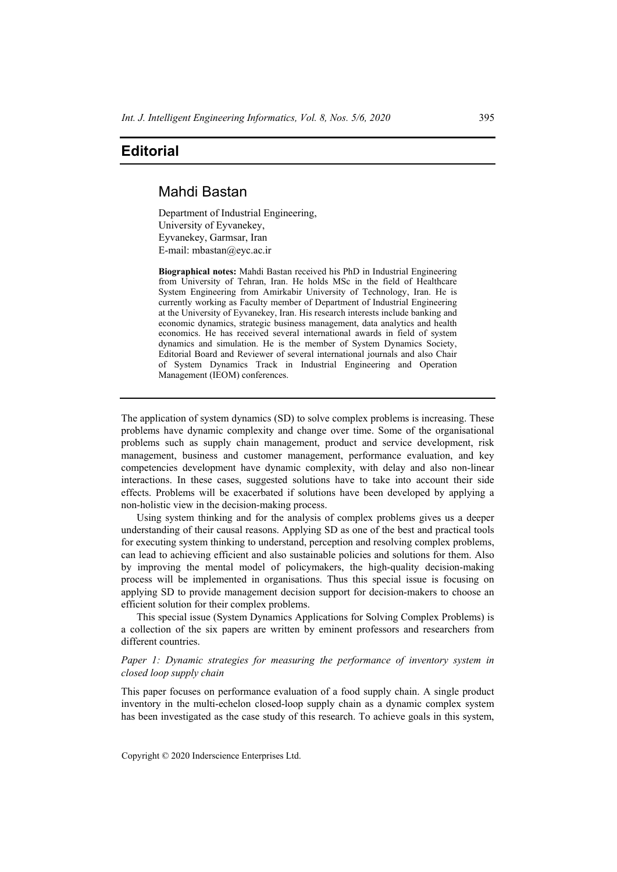# **Editorial**

# Mahdi Bastan

Department of Industrial Engineering, University of Eyvanekey, Eyvanekey, Garmsar, Iran E-mail: mbastan@eyc.ac.ir

**Biographical notes:** Mahdi Bastan received his PhD in Industrial Engineering from University of Tehran, Iran. He holds MSc in the field of Healthcare System Engineering from Amirkabir University of Technology, Iran. He is currently working as Faculty member of Department of Industrial Engineering at the University of Eyvanekey, Iran. His research interests include banking and economic dynamics, strategic business management, data analytics and health economics. He has received several international awards in field of system dynamics and simulation. He is the member of System Dynamics Society, Editorial Board and Reviewer of several international journals and also Chair of System Dynamics Track in Industrial Engineering and Operation Management (IEOM) conferences.

The application of system dynamics (SD) to solve complex problems is increasing. These problems have dynamic complexity and change over time. Some of the organisational problems such as supply chain management, product and service development, risk management, business and customer management, performance evaluation, and key competencies development have dynamic complexity, with delay and also non-linear interactions. In these cases, suggested solutions have to take into account their side effects. Problems will be exacerbated if solutions have been developed by applying a non-holistic view in the decision-making process.

Using system thinking and for the analysis of complex problems gives us a deeper understanding of their causal reasons. Applying SD as one of the best and practical tools for executing system thinking to understand, perception and resolving complex problems, can lead to achieving efficient and also sustainable policies and solutions for them. Also by improving the mental model of policymakers, the high-quality decision-making process will be implemented in organisations. Thus this special issue is focusing on applying SD to provide management decision support for decision-makers to choose an efficient solution for their complex problems.

This special issue (System Dynamics Applications for Solving Complex Problems) is a collection of the six papers are written by eminent professors and researchers from different countries.

*Paper 1: Dynamic strategies for measuring the performance of inventory system in closed loop supply chain* 

This paper focuses on performance evaluation of a food supply chain. A single product inventory in the multi-echelon closed-loop supply chain as a dynamic complex system has been investigated as the case study of this research. To achieve goals in this system,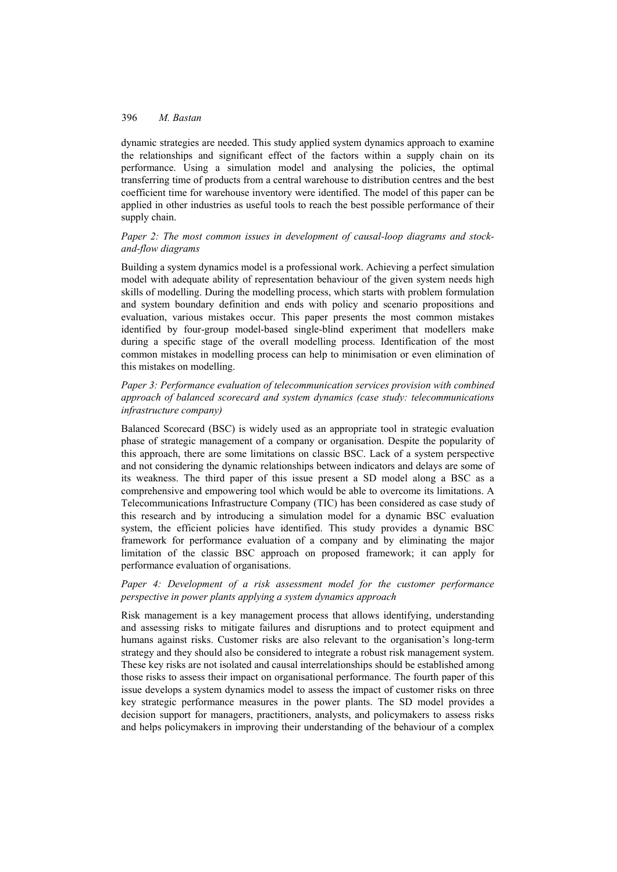dynamic strategies are needed. This study applied system dynamics approach to examine the relationships and significant effect of the factors within a supply chain on its performance. Using a simulation model and analysing the policies, the optimal transferring time of products from a central warehouse to distribution centres and the best coefficient time for warehouse inventory were identified. The model of this paper can be applied in other industries as useful tools to reach the best possible performance of their supply chain.

## *Paper 2: The most common issues in development of causal-loop diagrams and stockand-flow diagrams*

Building a system dynamics model is a professional work. Achieving a perfect simulation model with adequate ability of representation behaviour of the given system needs high skills of modelling. During the modelling process, which starts with problem formulation and system boundary definition and ends with policy and scenario propositions and evaluation, various mistakes occur. This paper presents the most common mistakes identified by four-group model-based single-blind experiment that modellers make during a specific stage of the overall modelling process. Identification of the most common mistakes in modelling process can help to minimisation or even elimination of this mistakes on modelling.

*Paper 3: Performance evaluation of telecommunication services provision with combined approach of balanced scorecard and system dynamics (case study: telecommunications infrastructure company)* 

Balanced Scorecard (BSC) is widely used as an appropriate tool in strategic evaluation phase of strategic management of a company or organisation. Despite the popularity of this approach, there are some limitations on classic BSC. Lack of a system perspective and not considering the dynamic relationships between indicators and delays are some of its weakness. The third paper of this issue present a SD model along a BSC as a comprehensive and empowering tool which would be able to overcome its limitations. A Telecommunications Infrastructure Company (TIC) has been considered as case study of this research and by introducing a simulation model for a dynamic BSC evaluation system, the efficient policies have identified. This study provides a dynamic BSC framework for performance evaluation of a company and by eliminating the major limitation of the classic BSC approach on proposed framework; it can apply for performance evaluation of organisations.

### *Paper 4: Development of a risk assessment model for the customer performance perspective in power plants applying a system dynamics approach*

Risk management is a key management process that allows identifying, understanding and assessing risks to mitigate failures and disruptions and to protect equipment and humans against risks. Customer risks are also relevant to the organisation's long-term strategy and they should also be considered to integrate a robust risk management system. These key risks are not isolated and causal interrelationships should be established among those risks to assess their impact on organisational performance. The fourth paper of this issue develops a system dynamics model to assess the impact of customer risks on three key strategic performance measures in the power plants. The SD model provides a decision support for managers, practitioners, analysts, and policymakers to assess risks and helps policymakers in improving their understanding of the behaviour of a complex